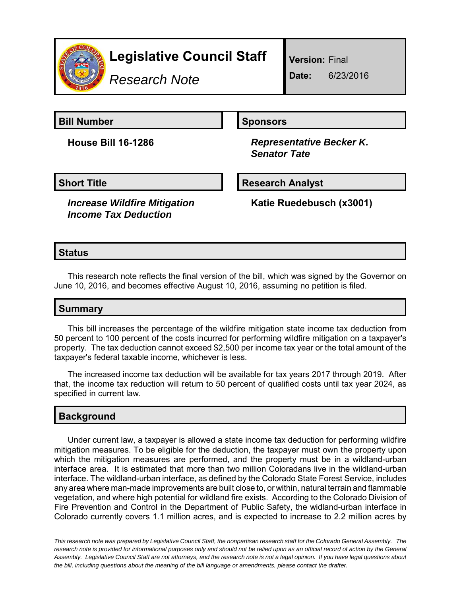

# **Legislative Council Staff**

*Research Note*

**Version:** Final

**Date:** 6/23/2016

**Bill Number Sponsors** 

**House Bill 16-1286** *Representative Becker K. Senator Tate*

**Short Title Community Community Community Research Analyst** 

*Increase Wildfire Mitigation Income Tax Deduction*

**Katie Ruedebusch (x3001)**

# **Status**

This research note reflects the final version of the bill, which was signed by the Governor on June 10, 2016, and becomes effective August 10, 2016, assuming no petition is filed.

## **Summary**

This bill increases the percentage of the wildfire mitigation state income tax deduction from 50 percent to 100 percent of the costs incurred for performing wildfire mitigation on a taxpayer's property. The tax deduction cannot exceed \$2,500 per income tax year or the total amount of the taxpayer's federal taxable income, whichever is less.

The increased income tax deduction will be available for tax years 2017 through 2019. After that, the income tax reduction will return to 50 percent of qualified costs until tax year 2024, as specified in current law.

## **Background**

Under current law, a taxpayer is allowed a state income tax deduction for performing wildfire mitigation measures. To be eligible for the deduction, the taxpayer must own the property upon which the mitigation measures are performed, and the property must be in a wildland-urban interface area. It is estimated that more than two million Coloradans live in the wildland-urban interface. The wildland-urban interface, as defined by the Colorado State Forest Service, includes any area where man-made improvements are built close to, or within, natural terrain and flammable vegetation, and where high potential for wildland fire exists. According to the Colorado Division of Fire Prevention and Control in the Department of Public Safety, the widland-urban interface in Colorado currently covers 1.1 million acres, and is expected to increase to 2.2 million acres by

*This research note was prepared by Legislative Council Staff, the nonpartisan research staff for the Colorado General Assembly. The research note is provided for informational purposes only and should not be relied upon as an official record of action by the General Assembly. Legislative Council Staff are not attorneys, and the research note is not a legal opinion. If you have legal questions about the bill, including questions about the meaning of the bill language or amendments, please contact the drafter.*